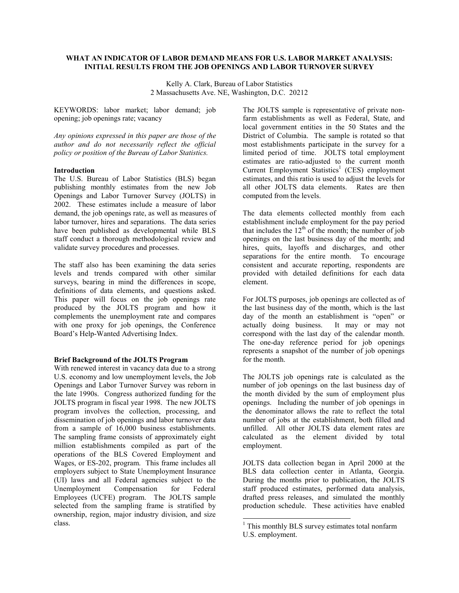# **WHAT AN INDICATOR OF LABOR DEMAND MEANS FOR U.S. LABOR MARKET ANALYSIS: INITIAL RESULTS FROM THE JOB OPENINGS AND LABOR TURNOVER SURVEY**

Kelly A. Clark, Bureau of Labor Statistics 2 Massachusetts Ave. NE, Washington, D.C. 20212

KEYWORDS: labor market; labor demand; job opening; job openings rate; vacancy

*Any opinions expressed in this paper are those of the author and do not necessarily reflect the official policy or position of the Bureau of Labor Statistics.* 

# **Introduction**

The U.S. Bureau of Labor Statistics (BLS) began publishing monthly estimates from the new Job Openings and Labor Turnover Survey (JOLTS) in 2002. These estimates include a measure of labor demand, the job openings rate, as well as measures of labor turnover, hires and separations. The data series have been published as developmental while BLS staff conduct a thorough methodological review and validate survey procedures and processes.

The staff also has been examining the data series levels and trends compared with other similar surveys, bearing in mind the differences in scope, definitions of data elements, and questions asked. This paper will focus on the job openings rate produced by the JOLTS program and how it complements the unemployment rate and compares with one proxy for job openings, the Conference Board's Help-Wanted Advertising Index.

### **Brief Background of the JOLTS Program**

With renewed interest in vacancy data due to a strong U.S. economy and low unemployment levels, the Job Openings and Labor Turnover Survey was reborn in the late 1990s. Congress authorized funding for the JOLTS program in fiscal year 1998. The new JOLTS program involves the collection, processing, and dissemination of job openings and labor turnover data from a sample of 16,000 business establishments. The sampling frame consists of approximately eight million establishments compiled as part of the operations of the BLS Covered Employment and Wages, or ES-202, program. This frame includes all employers subject to State Unemployment Insurance (UI) laws and all Federal agencies subject to the Unemployment Compensation for Federal Employees (UCFE) program. The JOLTS sample selected from the sampling frame is stratified by ownership, region, major industry division, and size class.

The JOLTS sample is representative of private nonfarm establishments as well as Federal, State, and local government entities in the 50 States and the District of Columbia. The sample is rotated so that most establishments participate in the survey for a limited period of time. JOLTS total employment estimates are ratio-adjusted to the current month Current Employment Statistics<sup>1</sup> (CES) employment estimates, and this ratio is used to adjust the levels for all other JOLTS data elements. Rates are then computed from the levels.

The data elements collected monthly from each establishment include employment for the pay period that includes the  $12<sup>th</sup>$  of the month; the number of job openings on the last business day of the month; and hires, quits, layoffs and discharges, and other separations for the entire month. To encourage consistent and accurate reporting, respondents are provided with detailed definitions for each data element.

For JOLTS purposes, job openings are collected as of the last business day of the month, which is the last day of the month an establishment is "open" or actually doing business. It may or may not actually doing business. correspond with the last day of the calendar month. The one-day reference period for job openings represents a snapshot of the number of job openings for the month.

The JOLTS job openings rate is calculated as the number of job openings on the last business day of the month divided by the sum of employment plus openings. Including the number of job openings in the denominator allows the rate to reflect the total number of jobs at the establishment, both filled and unfilled. All other JOLTS data element rates are calculated as the element divided by total employment.

JOLTS data collection began in April 2000 at the BLS data collection center in Atlanta, Georgia. During the months prior to publication, the JOLTS staff produced estimates, performed data analysis, drafted press releases, and simulated the monthly production schedule. These activities have enabled

-

<sup>&</sup>lt;sup>1</sup> This monthly BLS survey estimates total nonfarm U.S. employment.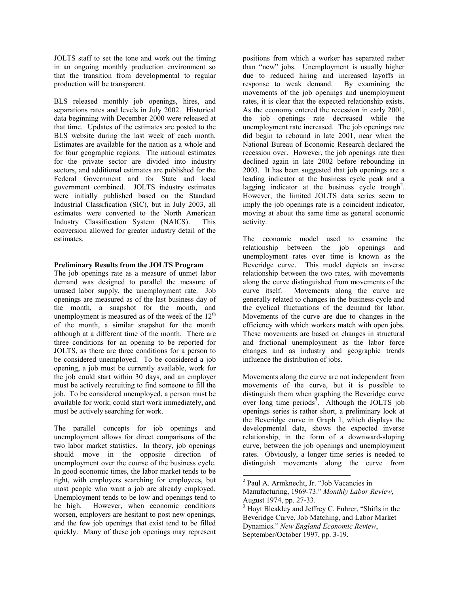JOLTS staff to set the tone and work out the timing in an ongoing monthly production environment so that the transition from developmental to regular production will be transparent.

BLS released monthly job openings, hires, and separations rates and levels in July 2002. Historical data beginning with December 2000 were released at that time. Updates of the estimates are posted to the BLS website during the last week of each month. Estimates are available for the nation as a whole and for four geographic regions. The national estimates for the private sector are divided into industry sectors, and additional estimates are published for the Federal Government and for State and local government combined. JOLTS industry estimates were initially published based on the Standard Industrial Classification (SIC), but in July 2003, all estimates were converted to the North American Industry Classification System (NAICS). This conversion allowed for greater industry detail of the estimates.

## **Preliminary Results from the JOLTS Program**

The job openings rate as a measure of unmet labor demand was designed to parallel the measure of unused labor supply, the unemployment rate. Job openings are measured as of the last business day of the month, a snapshot for the month, and unemployment is measured as of the week of the  $12<sup>th</sup>$ of the month, a similar snapshot for the month although at a different time of the month. There are three conditions for an opening to be reported for JOLTS, as there are three conditions for a person to be considered unemployed. To be considered a job opening, a job must be currently available, work for the job could start within 30 days, and an employer must be actively recruiting to find someone to fill the job. To be considered unemployed, a person must be available for work; could start work immediately, and must be actively searching for work.

The parallel concepts for job openings and unemployment allows for direct comparisons of the two labor market statistics. In theory, job openings should move in the opposite direction of unemployment over the course of the business cycle. In good economic times, the labor market tends to be tight, with employers searching for employees, but most people who want a job are already employed. Unemployment tends to be low and openings tend to be high. However, when economic conditions worsen, employers are hesitant to post new openings, and the few job openings that exist tend to be filled quickly. Many of these job openings may represent

positions from which a worker has separated rather than "new" jobs. Unemployment is usually higher due to reduced hiring and increased layoffs in response to weak demand. By examining the movements of the job openings and unemployment rates, it is clear that the expected relationship exists. As the economy entered the recession in early 2001, the job openings rate decreased while the unemployment rate increased. The job openings rate did begin to rebound in late 2001, near when the National Bureau of Economic Research declared the recession over. However, the job openings rate then declined again in late 2002 before rebounding in 2003. It has been suggested that job openings are a leading indicator at the business cycle peak and a lagging indicator at the business cycle trough<sup>2</sup>. However, the limited JOLTS data series seem to imply the job openings rate is a coincident indicator, moving at about the same time as general economic activity.

The economic model used to examine the relationship between the job openings and unemployment rates over time is known as the Beveridge curve. This model depicts an inverse relationship between the two rates, with movements along the curve distinguished from movements of the curve itself. Movements along the curve are generally related to changes in the business cycle and the cyclical fluctuations of the demand for labor. Movements of the curve are due to changes in the efficiency with which workers match with open jobs. These movements are based on changes in structural and frictional unemployment as the labor force changes and as industry and geographic trends influence the distribution of jobs.

Movements along the curve are not independent from movements of the curve, but it is possible to distinguish them when graphing the Beveridge curve over long time periods<sup>3</sup>. Although the JOLTS job openings series is rather short, a preliminary look at the Beveridge curve in Graph 1, which displays the developmental data, shows the expected inverse relationship, in the form of a downward-sloping curve, between the job openings and unemployment rates. Obviously, a longer time series is needed to distinguish movements along the curve from

1

<sup>&</sup>lt;sup>2</sup> Paul A. Armknecht, Jr. "Job Vacancies in Manufacturing, 1969-73." *Monthly Labor Review*, August 1974, pp. 27-33.

<sup>&</sup>lt;sup>3</sup> Hoyt Bleakley and Jeffrey C. Fuhrer, "Shifts in the Beveridge Curve, Job Matching, and Labor Market Dynamics." *New England Economic Review*, September/October 1997, pp. 3-19.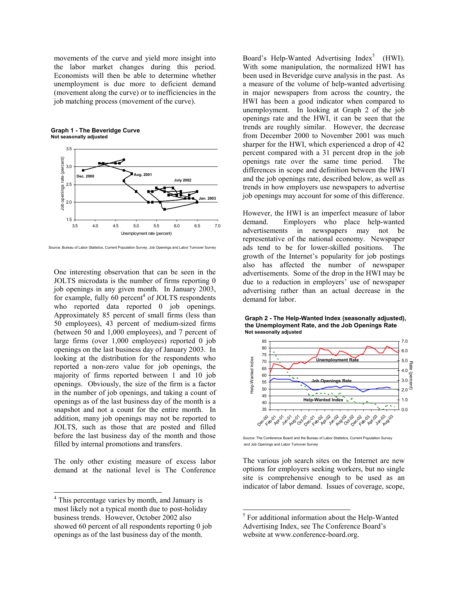movements of the curve and yield more insight into the labor market changes during this period. Economists will then be able to determine whether unemployment is due more to deficient demand (movement along the curve) or to inefficiencies in the job matching process (movement of the curve).

**Graph 1 - The Beveridge Curve Not seasonally adjusted**



Source: Bureau of Labor Statistics, Current Population Survey, Job Openings and Labor Turnover Survey

One interesting observation that can be seen in the JOLTS microdata is the number of firms reporting 0 job openings in any given month. In January 2003, for example, fully  $60$  percent<sup>4</sup> of JOLTS respondents who reported data reported 0 job openings. Approximately 85 percent of small firms (less than 50 employees), 43 percent of medium-sized firms (between 50 and 1,000 employees), and 7 percent of large firms (over 1,000 employees) reported 0 job openings on the last business day of January 2003. In looking at the distribution for the respondents who reported a non-zero value for job openings, the majority of firms reported between 1 and 10 job openings. Obviously, the size of the firm is a factor in the number of job openings, and taking a count of openings as of the last business day of the month is a snapshot and not a count for the entire month. In addition, many job openings may not be reported to JOLTS, such as those that are posted and filled before the last business day of the month and those filled by internal promotions and transfers.

The only other existing measure of excess labor demand at the national level is The Conference

 $\overline{a}$ 

Board's Help-Wanted Advertising  $Index^5$  (HWI). With some manipulation, the normalized HWI has been used in Beveridge curve analysis in the past. As a measure of the volume of help-wanted advertising in major newspapers from across the country, the HWI has been a good indicator when compared to unemployment. In looking at Graph 2 of the job openings rate and the HWI, it can be seen that the trends are roughly similar. However, the decrease from December 2000 to November 2001 was much sharper for the HWI, which experienced a drop of 42 percent compared with a 31 percent drop in the job openings rate over the same time period. The differences in scope and definition between the HWI and the job openings rate, described below, as well as trends in how employers use newspapers to advertise job openings may account for some of this difference.

However, the HWI is an imperfect measure of labor demand. Employers who place help-wanted advertisements in newspapers may not be representative of the national economy. Newspaper ads tend to be for lower-skilled positions. The growth of the Internet's popularity for job postings also has affected the number of newspaper advertisements. Some of the drop in the HWI may be due to a reduction in employers' use of newspaper advertising rather than an actual decrease in the demand for labor.

**Graph 2 - The Help-Wanted Index (seasonally adjusted), the Unemployment Rate, and the Job Openings Rate Not seasonally adjusted**



Source: The Conference Board and the Bureau of Labor Statistics, Current Population Survey and Job Openings and Labor Turnover Survey

The various job search sites on the Internet are new options for employers seeking workers, but no single site is comprehensive enough to be used as an indicator of labor demand. Issues of coverage, scope,

 $\overline{a}$ 

<sup>&</sup>lt;sup>4</sup> This percentage varies by month, and January is most likely not a typical month due to post-holiday business trends. However, October 2002 also showed 60 percent of all respondents reporting 0 job openings as of the last business day of the month.

<sup>&</sup>lt;sup>5</sup> For additional information about the Help-Wanted Advertising Index, see The Conference Board's website at www.conference-board.org.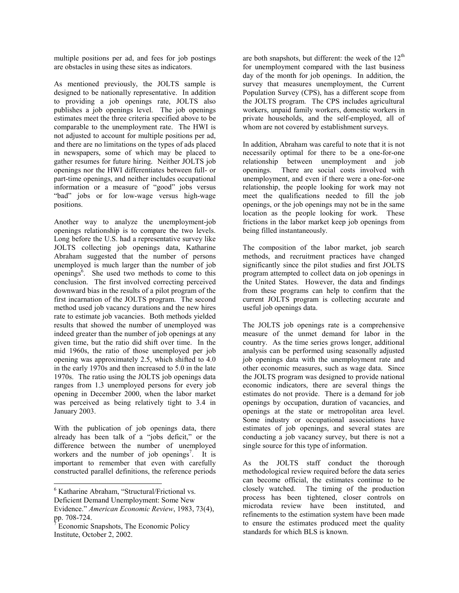multiple positions per ad, and fees for job postings are obstacles in using these sites as indicators.

As mentioned previously, the JOLTS sample is designed to be nationally representative. In addition to providing a job openings rate, JOLTS also publishes a job openings level. The job openings estimates meet the three criteria specified above to be comparable to the unemployment rate. The HWI is not adjusted to account for multiple positions per ad, and there are no limitations on the types of ads placed in newspapers, some of which may be placed to gather resumes for future hiring. Neither JOLTS job openings nor the HWI differentiates between full- or part-time openings, and neither includes occupational information or a measure of "good" jobs versus "bad" jobs or for low-wage versus high-wage positions.

Another way to analyze the unemployment-job openings relationship is to compare the two levels. Long before the U.S. had a representative survey like JOLTS collecting job openings data, Katharine Abraham suggested that the number of persons unemployed is much larger than the number of job openings<sup>6</sup>. She used two methods to come to this conclusion. The first involved correcting perceived downward bias in the results of a pilot program of the first incarnation of the JOLTS program. The second method used job vacancy durations and the new hires rate to estimate job vacancies. Both methods yielded results that showed the number of unemployed was indeed greater than the number of job openings at any given time, but the ratio did shift over time. In the mid 1960s, the ratio of those unemployed per job opening was approximately 2.5, which shifted to 4.0 in the early 1970s and then increased to 5.0 in the late 1970s. The ratio using the JOLTS job openings data ranges from 1.3 unemployed persons for every job opening in December 2000, when the labor market was perceived as being relatively tight to 3.4 in January 2003.

With the publication of job openings data, there already has been talk of a "jobs deficit," or the difference between the number of unemployed workers and the number of job openings<sup>7</sup>. It is important to remember that even with carefully constructed parallel definitions, the reference periods

 $\overline{a}$ 

are both snapshots, but different: the week of the  $12<sup>th</sup>$ for unemployment compared with the last business day of the month for job openings. In addition, the survey that measures unemployment, the Current Population Survey (CPS), has a different scope from the JOLTS program. The CPS includes agricultural workers, unpaid family workers, domestic workers in private households, and the self-employed, all of whom are not covered by establishment surveys.

In addition, Abraham was careful to note that it is not necessarily optimal for there to be a one-for-one relationship between unemployment and job openings. There are social costs involved with unemployment, and even if there were a one-for-one relationship, the people looking for work may not meet the qualifications needed to fill the job openings, or the job openings may not be in the same location as the people looking for work. These frictions in the labor market keep job openings from being filled instantaneously.

The composition of the labor market, job search methods, and recruitment practices have changed significantly since the pilot studies and first JOLTS program attempted to collect data on job openings in the United States. However, the data and findings from these programs can help to confirm that the current JOLTS program is collecting accurate and useful job openings data.

The JOLTS job openings rate is a comprehensive measure of the unmet demand for labor in the country. As the time series grows longer, additional analysis can be performed using seasonally adjusted job openings data with the unemployment rate and other economic measures, such as wage data. Since the JOLTS program was designed to provide national economic indicators, there are several things the estimates do not provide. There is a demand for job openings by occupation, duration of vacancies, and openings at the state or metropolitan area level. Some industry or occupational associations have estimates of job openings, and several states are conducting a job vacancy survey, but there is not a single source for this type of information.

As the JOLTS staff conduct the thorough methodological review required before the data series can become official, the estimates continue to be closely watched. The timing of the production process has been tightened, closer controls on microdata review have been instituted, and refinements to the estimation system have been made to ensure the estimates produced meet the quality standards for which BLS is known.

<sup>6</sup> Katharine Abraham, "Structural/Frictional vs.

Deficient Demand Unemployment: Some New

Evidence." *American Economic Review*, 1983, 73(4), pp. 708-724.<br><sup>7</sup> Esenemie S

Economic Snapshots, The Economic Policy Institute, October 2, 2002.